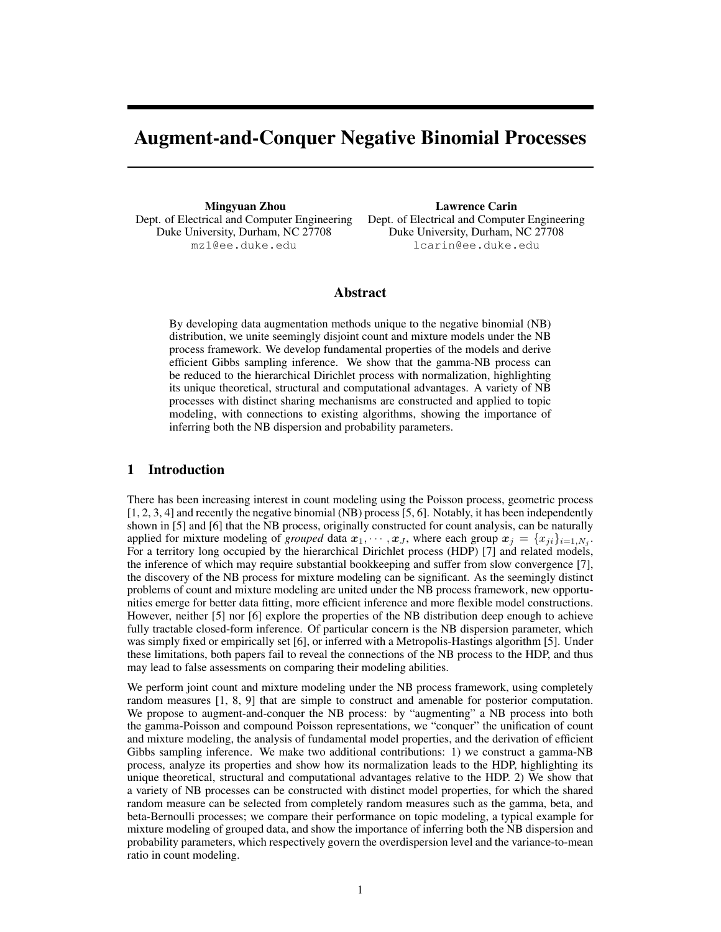# Augment-and-Conquer Negative Binomial Processes

Mingyuan Zhou Dept. of Electrical and Computer Engineering Duke University, Durham, NC 27708 mz1@ee.duke.edu

Lawrence Carin Dept. of Electrical and Computer Engineering Duke University, Durham, NC 27708 lcarin@ee.duke.edu

## Abstract

By developing data augmentation methods unique to the negative binomial (NB) distribution, we unite seemingly disjoint count and mixture models under the NB process framework. We develop fundamental properties of the models and derive efficient Gibbs sampling inference. We show that the gamma-NB process can be reduced to the hierarchical Dirichlet process with normalization, highlighting its unique theoretical, structural and computational advantages. A variety of NB processes with distinct sharing mechanisms are constructed and applied to topic modeling, with connections to existing algorithms, showing the importance of inferring both the NB dispersion and probability parameters.

# 1 Introduction

There has been increasing interest in count modeling using the Poisson process, geometric process [1, 2, 3, 4] and recently the negative binomial (NB) process [5, 6]. Notably, it has been independently shown in [5] and [6] that the NB process, originally constructed for count analysis, can be naturally applied for mixture modeling of *grouped* data  $x_1, \dots, x_J$ , where each group  $x_j = \{x_{ji}\}_{i=1,N_j}$ . For a territory long occupied by the hierarchical Dirichlet process (HDP) [7] and related models, the inference of which may require substantial bookkeeping and suffer from slow convergence [7], the discovery of the NB process for mixture modeling can be significant. As the seemingly distinct problems of count and mixture modeling are united under the NB process framework, new opportunities emerge for better data fitting, more efficient inference and more flexible model constructions. However, neither [5] nor [6] explore the properties of the NB distribution deep enough to achieve fully tractable closed-form inference. Of particular concern is the NB dispersion parameter, which was simply fixed or empirically set [6], or inferred with a Metropolis-Hastings algorithm [5]. Under these limitations, both papers fail to reveal the connections of the NB process to the HDP, and thus may lead to false assessments on comparing their modeling abilities.

We perform joint count and mixture modeling under the NB process framework, using completely random measures [1, 8, 9] that are simple to construct and amenable for posterior computation. We propose to augment-and-conquer the NB process: by "augmenting" a NB process into both the gamma-Poisson and compound Poisson representations, we "conquer" the unification of count and mixture modeling, the analysis of fundamental model properties, and the derivation of efficient Gibbs sampling inference. We make two additional contributions: 1) we construct a gamma-NB process, analyze its properties and show how its normalization leads to the HDP, highlighting its unique theoretical, structural and computational advantages relative to the HDP. 2) We show that a variety of NB processes can be constructed with distinct model properties, for which the shared random measure can be selected from completely random measures such as the gamma, beta, and beta-Bernoulli processes; we compare their performance on topic modeling, a typical example for mixture modeling of grouped data, and show the importance of inferring both the NB dispersion and probability parameters, which respectively govern the overdispersion level and the variance-to-mean ratio in count modeling.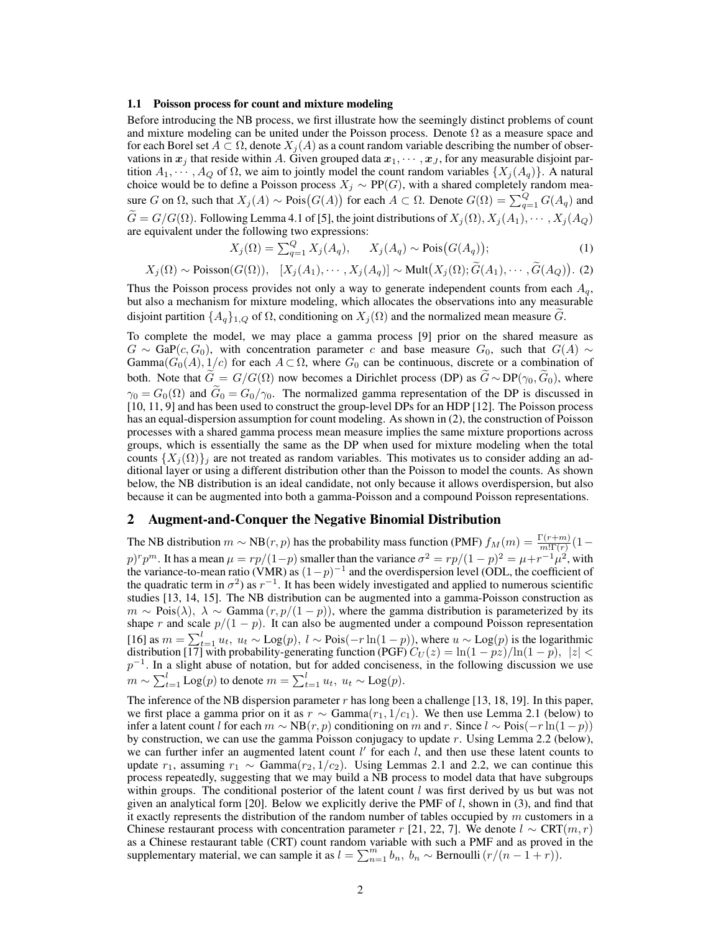#### 1.1 Poisson process for count and mixture modeling

Before introducing the NB process, we first illustrate how the seemingly distinct problems of count and mixture modeling can be united under the Poisson process. Denote  $\Omega$  as a measure space and for each Borel set  $A \subset \Omega$ , denote  $X_j(A)$  as a count random variable describing the number of observations in  $x_j$  that reside within A. Given grouped data  $x_1, \dots, x_J$ , for any measurable disjoint partition  $A_1, \dots, A_Q$  of  $\Omega$ , we aim to jointly model the count random variables  $\{X_i(A_q)\}\$ . A natural choice would be to define a Poisson process  $X_j \sim PP(G)$ , with a shared completely random measure G on  $\Omega$ , such that  $X_j(A) \sim \text{Pois}(G(A))$  for each  $A \subset \Omega$ . Denote  $G(\Omega) = \sum_{q=1}^{Q} G(A_q)$  and  $\tilde{G} = G/G(\Omega)$ . Following Lemma 4.1 of [5], the joint distributions of  $X_j(\Omega), X_j(A_1), \cdots, X_j(A_Q)$ are equivalent under the following two expressions:

$$
X_j(\Omega) = \sum_{q=1}^Q X_j(A_q), \qquad X_j(A_q) \sim \text{Pois}(G(A_q));\tag{1}
$$

$$
X_j(\Omega) \sim \text{Poisson}(G(\Omega)), \quad [X_j(A_1), \cdots, X_j(A_q)] \sim \text{Mult}(X_j(\Omega); \tilde{G}(A_1), \cdots, \tilde{G}(A_q)).
$$
 (2)

Thus the Poisson process provides not only a way to generate independent counts from each  $A_q$ , but also a mechanism for mixture modeling, which allocates the observations into any measurable disjoint partition  $\{A_q\}_{q,Q}$  of  $\Omega$ , conditioning on  $X_j(\Omega)$  and the normalized mean measure G.

To complete the model, we may place a gamma process [9] prior on the shared measure as  $G \sim \text{Gap}(c, G_0)$ , with concentration parameter c and base measure  $G_0$ , such that  $G(A) \sim$ Gamma( $G_0(A), 1/c$ ) for each  $A \subset \Omega$ , where  $G_0$  can be continuous, discrete or a combination of both. Note that  $\tilde{G} = G/G(\Omega)$  now becomes a Dirichlet process (DP) as  $\tilde{G} \sim DP(\gamma_0, \tilde{G}_0)$ , where  $\gamma_0 = G_0(\Omega)$  and  $G_0 = G_0/\gamma_0$ . The normalized gamma representation of the DP is discussed in [10, 11, 9] and has been used to construct the group-level DPs for an HDP [12]. The Poisson process has an equal-dispersion assumption for count modeling. As shown in (2), the construction of Poisson processes with a shared gamma process mean measure implies the same mixture proportions across groups, which is essentially the same as the DP when used for mixture modeling when the total counts  $\{X_i(\Omega)\}\$ i are not treated as random variables. This motivates us to consider adding an additional layer or using a different distribution other than the Poisson to model the counts. As shown below, the NB distribution is an ideal candidate, not only because it allows overdispersion, but also because it can be augmented into both a gamma-Poisson and a compound Poisson representations.

## 2 Augment-and-Conquer the Negative Binomial Distribution

The NB distribution  $m \sim NB(r, p)$  has the probability mass function (PMF)  $f_M(m) = \frac{\Gamma(r+m)}{m!\Gamma(r)}(1$  $p)^{r}p^{m}$ . It has a mean  $\mu = rp/(1-p)$  smaller than the variance  $\sigma^{2} = rp/(1-p)^{2} = \mu + r^{-1}\mu^{2}$ , with the variance-to-mean ratio (VMR) as  $(1-p)^{-1}$  and the overdispersion level (ODL, the coefficient of the quadratic term in  $\sigma^2$ ) as  $r^{-1}$ . It has been widely investigated and applied to numerous scientific studies [13, 14, 15]. The NB distribution can be augmented into a gamma-Poisson construction as  $m \sim \text{Pois}(\lambda)$ ,  $\lambda \sim \text{Gamma}(r, p/(1-p))$ , where the gamma distribution is parameterized by its shape r and scale  $p/(1-p)$ . It can also be augmented under a compound Poisson representation [16] as  $m = \sum_{t=1}^{l} u_t$ ,  $u_t \sim \text{Log}(p)$ ,  $l \sim \text{Pois}(-r \ln(1-p))$ , where  $u \sim \text{Log}(p)$  is the logarithmic distribution [17] with probability-generating function (PGF)  $C_U(z) = \ln(1 - pz)/\ln(1 - p)$ ,  $|z| <$  $p^{-1}$ . In a slight abuse of notation, but for added conciseness, in the following discussion we use  $m \sim \sum_{t=1}^{l} \text{Log}(p)$  to denote  $m = \sum_{t=1}^{l} u_t, u_t \sim \text{Log}(p)$ .

The inference of the NB dispersion parameter  $r$  has long been a challenge [13, 18, 19]. In this paper, we first place a gamma prior on it as  $r \sim \text{Gamma}(r_1, 1/c_1)$ . We then use Lemma 2.1 (below) to infer a latent count l for each  $m \sim NB(r, p)$  conditioning on m and r. Since  $l \sim Pois(-r \ln(1-p))$ by construction, we can use the gamma Poisson conjugacy to update  $r$ . Using Lemma 2.2 (below), we can further infer an augmented latent count  $l'$  for each  $l$ , and then use these latent counts to update  $r_1$ , assuming  $r_1 \sim \text{Gamma}(r_2, 1/c_2)$ . Using Lemmas 2.1 and 2.2, we can continue this process repeatedly, suggesting that we may build a NB process to model data that have subgroups within groups. The conditional posterior of the latent count  $l$  was first derived by us but was not given an analytical form [20]. Below we explicitly derive the PMF of  $l$ , shown in (3), and find that it exactly represents the distribution of the random number of tables occupied by  $m$  customers in a Chinese restaurant process with concentration parameter r [21, 22, 7]. We denote  $l \sim \text{CRT}(m, r)$ as a Chinese restaurant table (CRT) count random variable with such a PMF and as proved in the supplementary material, we can sample it as  $l = \sum_{n=1}^{m} b_n$ ,  $b_n \sim \text{Bernoulli}(r/(n-1+r))$ .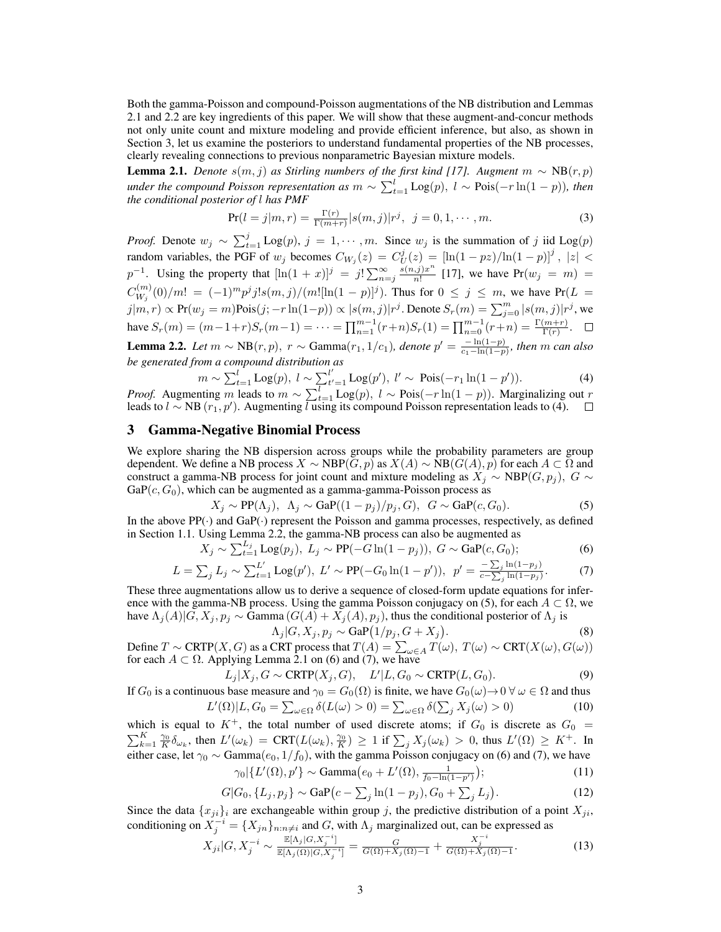Both the gamma-Poisson and compound-Poisson augmentations of the NB distribution and Lemmas 2.1 and 2.2 are key ingredients of this paper. We will show that these augment-and-concur methods not only unite count and mixture modeling and provide efficient inference, but also, as shown in Section 3, let us examine the posteriors to understand fundamental properties of the NB processes, clearly revealing connections to previous nonparametric Bayesian mixture models.

**Lemma 2.1.** *Denote*  $s(m, j)$  *as Stirling numbers of the first kind [17]. Augment*  $m \sim NB(r, p)$ *under the compound Poisson representation as*  $m \sim \sum_{t=1}^{l} \text{Log}(p)$ ,  $l \sim \text{Pois}(-r \ln(1-p))$ , then *the conditional posterior of* l *has PMF*

$$
\Pr(l = j | m, r) = \frac{\Gamma(r)}{\Gamma(m+r)} |s(m, j)| r^j, \ \ j = 0, 1, \cdots, m.
$$
 (3)

*Proof.* Denote  $w_j \sim \sum_{t=1}^j \text{Log}(p)$ ,  $j = 1, \dots, m$ . Since  $w_j$  is the summation of j iid Log(p) random variables, the PGF of  $w_j$  becomes  $C_{W_j}(z) = C_U^j(z) = [\ln(1-pz)/\ln(1-p)]^j$ ,  $|z| <$  $p^{-1}$ . Using the property that  $[\ln(1+x)]^j = j! \sum_{n=j}^{\infty} \frac{s(n,j)x^n}{n!}$  $\frac{1}{n!}$  [17], we have  $Pr(w_j = m) =$  $C_{W}^{(m)}$  $\binom{m}{W_j}(0)/m! = (-1)^m p^j j! s(m,j)/(m![\ln(1-p)]^j)$ . Thus for  $0 \le j \le m$ , we have Pr(L =  $j|m,r) \propto \Pr(w_j=m)$ Pois $(j; -r\ln(1-p)) \propto |s(m,j)|r^j$ . Denote  $S_r(m) = \sum_{j=0}^m |s(m,j)|r^j$ , we have  $S_r(m) = (m-1+r)S_r(m-1) = \cdots = \prod_{n=1}^{m-1} (r+n)S_r(1) = \prod_{n=0}^{m-1} (r+n) = \frac{\Gamma(m+r)}{\Gamma(r)}$ . **Lemma 2.2.** *Let*  $m \sim NB(r, p)$ ,  $r \sim \text{Gamma}(r_1, 1/c_1)$ , *denote*  $p' = \frac{-\ln(1-p)}{r_1 - \ln(1-p)}$  $\frac{-\ln(1-p)}{c_1-\ln(1-p)}$ , then m can also *be generated from a compound distribution as*

$$
m \sim \sum_{t=1}^{l} \text{Log}(p), \ l \sim \sum_{t'=1}^{l'} \text{Log}(p'), \ l' \sim \text{Pois}(-r_1 \ln(1-p')). \tag{4}
$$

*Proof.* Augmenting m leads to  $m \sim \sum_{t=1}^{l} \text{Log}(p)$ ,  $l \sim \text{Pois}(-r \ln(1-p))$ . Marginalizing out r leads to  $l \sim NB(r_1, p')$ . Augmenting  $l$  using its compound Poisson representation leads to (4).

# 3 Gamma-Negative Binomial Process

We explore sharing the NB dispersion across groups while the probability parameters are group dependent. We define a NB process  $X \sim \text{NBP}(G, p)$  as  $X(A) \sim \text{NB}(G(A), p)$  for each  $A \subset \Omega$  and construct a gamma-NB process for joint count and mixture modeling as  $X_j \sim \text{NBP}(G, p_j)$ ,  $G \sim$  $GaP(c, G_0)$ , which can be augmented as a gamma-gamma-Poisson process as

$$
X_j \sim \text{PP}(\Lambda_j), \ \Lambda_j \sim \text{GaP}((1-p_j)/p_j, G), \ G \sim \text{GaP}(c, G_0). \tag{5}
$$

In the above  $PP(\cdot)$  and  $GaP(\cdot)$  represent the Poisson and gamma processes, respectively, as defined in Section 1.1. Using Lemma 2.2, the gamma-NB process can also be augmented as

$$
X_j \sim \sum_{t=1}^{L_j} \text{Log}(p_j), \ L_j \sim \text{PP}(-G \ln(1-p_j)), \ G \sim \text{Gap}(c, G_0); \tag{6}
$$

$$
L = \sum_{j} L_{j} \sim \sum_{t=1}^{L'} \text{Log}(p'), \ L' \sim \text{PP}(-G_{0} \ln(1-p')), \ p' = \frac{-\sum_{j} \ln(1-p_{j})}{c - \sum_{j} \ln(1-p_{j})}.
$$
 (7)

These three augmentations allow us to derive a sequence of closed-form update equations for inference with the gamma-NB process. Using the gamma Poisson conjugacy on (5), for each  $A \subset \Omega$ , we have  $\Lambda_j(A)|G, X_j, p_j \sim \text{Gamma}(G(A) + X_j(A), p_j)$ , thus the conditional posterior of  $\Lambda_j$  is

$$
\Lambda_j|G, X_j, p_j \sim \text{GaP}\left(1/p_j, G + X_j\right). \tag{8}
$$

Define  $T \sim \text{CRTP}(X, G)$  as a CRT process that  $T(A) = \sum_{\omega \in A} T(\omega)$ ,  $T(\omega) \sim \text{CRT}(X(\omega), G(\omega))$ for each  $A \subset \Omega$ . Applying Lemma 2.1 on (6) and (7), we have

$$
L_j|X_j, G \sim \text{CRTP}(X_j, G), \quad L'|L, G_0 \sim \text{CRTP}(L, G_0). \tag{9}
$$

If  $G_0$  is a continuous base measure and  $\gamma_0 = G_0(\Omega)$  is finite, we have  $G_0(\omega) \to 0 \ \forall \omega \in \Omega$  and thus

$$
L'(\Omega)|L, G_0 = \sum_{\omega \in \Omega} \delta(L(\omega) > 0) = \sum_{\omega \in \Omega} \delta(\sum_j X_j(\omega) > 0)
$$
(10)

which is equal to  $K^+$ , the total number of used discrete atoms; if  $G_0$  is discrete as  $G_0$  =  $\sum_{k=1}^K \frac{\gamma_0}{K} \delta_{\omega_k}$ , then  $L'(\omega_k) = \text{CRT}(L(\omega_k), \frac{\gamma_0}{K}) \ge 1$  if  $\sum_j X_j(\omega_k) > 0$ , thus  $L'(\Omega) \ge K^+$ . In either case, let  $\gamma_0 \sim \text{Gamma}(e_0, 1/f_0)$ , with the gamma Poisson conjugacy on (6) and (7), we have  $\gamma_0 \vert \{L'(\Omega), p'\} \sim \text{Gamma}(e_0 + L'(\Omega)),$  $1<sup>1</sup>$  $\Delta$  $(11)$ 

$$
\gamma_0 \mid \{ L \ (3\ell), p \} \sim \text{Gamma}(e_0 + L \ (3\ell), \frac{1}{f_0 - \ln(1 - p')} \}, \tag{11}
$$

$$
G|G_0, \{L_j, p_j\} \sim \text{GaP}(c - \sum_j \ln(1 - p_j), G_0 + \sum_j L_j). \tag{12}
$$

Since the data  $\{x_{ji}\}_i$  are exchangeable within group j, the predictive distribution of a point  $X_{ji}$ , conditioning on  $X_j^{-i} = \{X_{jn}\}_{n:n\neq i}$  and G, with  $\Lambda_j$  marginalized out, can be expressed as

$$
X_{ji}|G, X_j^{-i} \sim \frac{\mathbb{E}[\Lambda_j|G, X_j^{-i}]}{\mathbb{E}[\Lambda_j(\Omega)|G, X_j^{-i}]} = \frac{G}{G(\Omega) + X_j(\Omega) - 1} + \frac{X_j^{-i}}{G(\Omega) + X_j(\Omega) - 1}.
$$
 (13)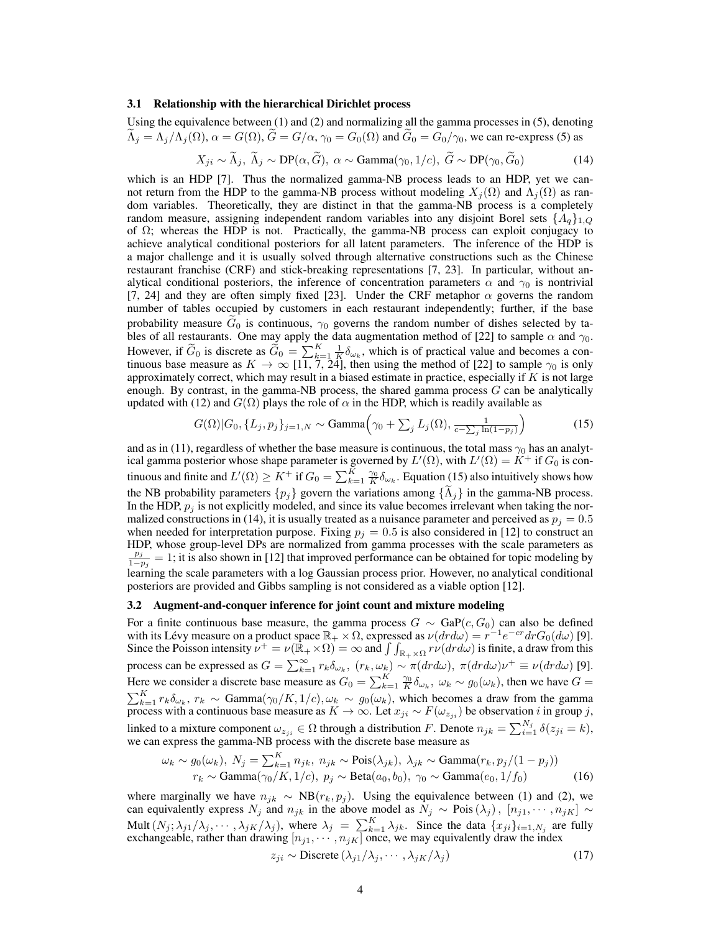#### 3.1 Relationship with the hierarchical Dirichlet process

Using the equivalence between (1) and (2) and normalizing all the gamma processes in (5), denoting  $\tilde{\Lambda}_i = \Lambda_i/\Lambda_i(\Omega)$ ,  $\alpha = G(\Omega)$ ,  $\tilde{G} = G/\alpha$ ,  $\gamma_0 = G_0(\Omega)$  and  $\tilde{G}_0 = G_0/\gamma_0$ , we can re-express (5) as

$$
X_{ji} \sim \widetilde{\Lambda}_j, \ \widetilde{\Lambda}_j \sim \text{DP}(\alpha, \widetilde{G}), \ \alpha \sim \text{Gamma}(\gamma_0, 1/c), \ \widetilde{G} \sim \text{DP}(\gamma_0, \widetilde{G}_0) \tag{14}
$$

which is an HDP [7]. Thus the normalized gamma-NB process leads to an HDP, yet we cannot return from the HDP to the gamma-NB process without modeling  $X_i(\Omega)$  and  $\Lambda_i(\Omega)$  as random variables. Theoretically, they are distinct in that the gamma-NB process is a completely random measure, assigning independent random variables into any disjoint Borel sets  $\{A_q\}_{1,Q}$ of  $\Omega$ ; whereas the HDP is not. Practically, the gamma-NB process can exploit conjugacy to achieve analytical conditional posteriors for all latent parameters. The inference of the HDP is a major challenge and it is usually solved through alternative constructions such as the Chinese restaurant franchise (CRF) and stick-breaking representations [7, 23]. In particular, without analytical conditional posteriors, the inference of concentration parameters  $\alpha$  and  $\gamma_0$  is nontrivial [7, 24] and they are often simply fixed [23]. Under the CRF metaphor  $\alpha$  governs the random number of tables occupied by customers in each restaurant independently; further, if the base probability measure  $G_0$  is continuous,  $\gamma_0$  governs the random number of dishes selected by tables of all restaurants. One may apply the data augmentation method of [22] to sample  $\alpha$  and  $\gamma_0$ . However, if  $\tilde{G}_0$  is discrete as  $\tilde{G}_0 = \sum_{k=1}^K \frac{1}{K} \delta_{\omega_k}$ , which is of practical value and becomes a continuous base measure as  $K \to \infty$  [11, 7, 24], then using the method of [22] to sample  $\gamma_0$  is only approximately correct, which may result in a biased estimate in practice, especially if  $K$  is not large enough. By contrast, in the gamma-NB process, the shared gamma process  $G$  can be analytically updated with (12) and  $G(\Omega)$  plays the role of  $\alpha$  in the HDP, which is readily available as

$$
G(\Omega)|G_0, \{L_j, p_j\}_{j=1,N} \sim \text{Gamma}\left(\gamma_0 + \sum_j L_j(\Omega), \frac{1}{c - \sum_j \ln(1 - p_j)}\right) \tag{15}
$$

and as in (11), regardless of whether the base measure is continuous, the total mass  $\gamma_0$  has an analytical gamma posterior whose shape parameter is governed by  $L'(\Omega)$ , with  $L'(\Omega) = K^+$  if  $G_0$  is continuous and finite and  $L'(\Omega) \ge K^+$  if  $G_0 = \sum_{k=1}^K \frac{\gamma_0}{K} \delta_{\omega_k}$ . Equation (15) also intuitively shows how the NB probability parameters  $\{p_j\}$  govern the variations among  $\{\tilde{\Lambda}_j\}$  in the gamma-NB process. In the HDP,  $p_i$  is not explicitly modeled, and since its value becomes irrelevant when taking the normalized constructions in (14), it is usually treated as a nuisance parameter and perceived as  $p_i = 0.5$ when needed for interpretation purpose. Fixing  $p_j = 0.5$  is also considered in [12] to construct an HDP, whose group-level DPs are normalized from gamma processes with the scale parameters as  $p_j$  $\frac{p_j}{1-p_j}=1$ ; it is also shown in [12] that improved performance can be obtained for topic modeling by learning the scale parameters with a log Gaussian process prior. However, no analytical conditional posteriors are provided and Gibbs sampling is not considered as a viable option [12].

#### 3.2 Augment-and-conquer inference for joint count and mixture modeling

For a finite continuous base measure, the gamma process  $G \sim \text{GaP}(c, G_0)$  can also be defined with its Lévy measure on a product space  $\mathbb{R}_+ \times \Omega$ , expressed as  $\nu(dr d\omega) = r^{-1}e^{-cr}drG_0(d\omega)$  [9]. Since the Poisson intensity  $\nu^+ = \nu(\mathbb{R}_+ \times \Omega) = \infty$  and  $\int \int_{\mathbb{R}_+ \times \Omega} r \nu(dr d\omega)$  is finite, a draw from this process can be expressed as  $G = \sum_{k=1}^{\infty} r_k \delta_{\omega_k}$ ,  $(r_k, \omega_k) \sim \pi (dr d\omega)$ ,  $\pi (dr d\omega) \nu^+ \equiv \nu (dr d\omega)$  [9]. Here we consider a discrete base measure as  $G_0 = \sum_{k=1}^K \frac{\gamma_0}{K} \delta_{\omega_k}$ ,  $\omega_k \sim g_0(\omega_k)$ , then we have  $G =$  $\sum_{k=1}^K r_k \delta_{\omega_k}$ ,  $r_k \sim \text{Gamma}(\gamma_0/K, 1/c), \omega_k \sim g_0(\omega_k)$ , which becomes a draw from the gamma process with a continuous base measure as  $K \to \infty$ . Let  $x_{ji} \sim F(\omega_{z_{ji}})$  be observation i in group j, linked to a mixture component  $\omega_{z_{ji}} \in \Omega$  through a distribution F. Denote  $n_{jk} = \sum_{i=1}^{N_j} \delta(z_{ji} = k)$ , we can express the gamma-NB process with the discrete base measure as

$$
\omega_k \sim g_0(\omega_k), N_j = \sum_{k=1}^K n_{jk}, n_{jk} \sim \text{Pois}(\lambda_{jk}), \lambda_{jk} \sim \text{Gamma}(r_k, p_j/(1-p_j))
$$
  

$$
r_k \sim \text{Gamma}(\gamma_0/K, 1/c), p_j \sim \text{Beta}(a_0, b_0), \gamma_0 \sim \text{Gamma}(e_0, 1/f_0)
$$
 (16)

where marginally we have  $n_{jk} \sim NB(r_k, p_j)$ . Using the equivalence between (1) and (2), we can equivalently express  $N_j$  and  $n_{jk}$  in the above model as  $N_j \sim \text{Pois}(\lambda_j)$ ,  $[n_{j1}, \cdots, n_{jK}] \sim$ Mult  $(N_j; \lambda_{j1}/\lambda_j, \cdots, \lambda_{jK}/\lambda_j)$ , where  $\lambda_j = \sum_{k=1}^K \lambda_{jk}$ . Since the data  $\{x_{ji}\}_{i=1,N_j}$  are fully exchangeable, rather than drawing  $[n_{j1}, \cdots, n_{jK}]$  once, we may equivalently draw the index

$$
z_{ji} \sim \text{Discrete} \left( \lambda_{j1} / \lambda_j, \cdots, \lambda_{jK} / \lambda_j \right) \tag{17}
$$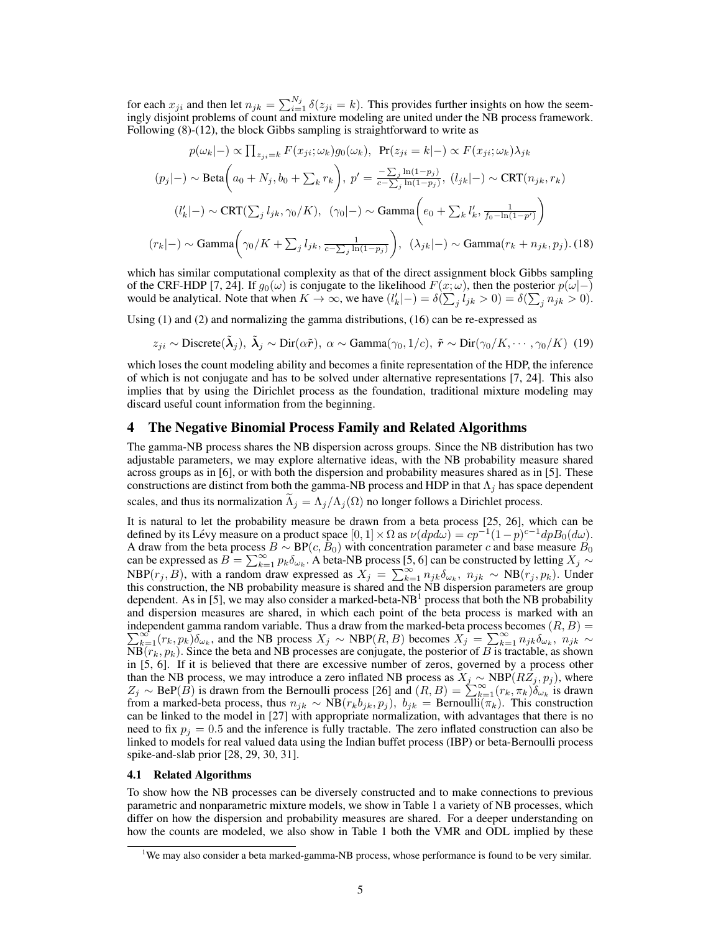for each  $x_{ji}$  and then let  $n_{jk} = \sum_{i=1}^{N_j} \delta(z_{ji} = k)$ . This provides further insights on how the seemingly disjoint problems of count and mixture modeling are united under the NB process framework. Following (8)-(12), the block Gibbs sampling is straightforward to write as

$$
p(\omega_k|-) \propto \prod_{z_{ji}=k} F(x_{ji}; \omega_k) g_0(\omega_k), \quad \Pr(z_{ji}=k|-) \propto F(x_{ji}; \omega_k) \lambda_{jk}
$$

$$
(p_j|-) \sim \text{Beta}\left(a_0 + N_j, b_0 + \sum_k r_k\right), \ p' = \frac{-\sum_j \ln(1-p_j)}{c - \sum_j \ln(1-p_j)}, \ (l_{jk}|-) \sim \text{CRT}(n_{jk}, r_k)
$$

$$
(l'_k|-) \sim \text{CRT}(\sum_j l_{jk}, \gamma_0/K), \ (\gamma_0|-) \sim \text{Gamma}\left(e_0 + \sum_k l'_k, \frac{1}{f_0 - \ln(1-p')}\right)
$$

$$
(r_k|-) \sim \text{Gamma}\left(\gamma_0/K + \sum_j l_{jk}, \frac{1}{c - \sum_j \ln(1-p_j)}\right), \ (\lambda_{jk}|-) \sim \text{Gamma}(r_k + n_{jk}, p_j). \tag{18}
$$

which has similar computational complexity as that of the direct assignment block Gibbs sampling of the CRF-HDP [7, 24]. If  $g_0(\omega)$  is conjugate to the likelihood  $F(x; \omega)$ , then the posterior  $p(\omega|-)$ would be analytical. Note that when  $K \to \infty$ , we have  $(l'_k|-) = \delta(\sum_j l_{jk} > 0) = \delta(\sum_j n_{jk} > 0)$ .

Using (1) and (2) and normalizing the gamma distributions, (16) can be re-expressed as

$$
z_{ji} \sim \text{Discrete}(\tilde{\lambda}_j), \ \tilde{\lambda}_j \sim \text{Dir}(\alpha \tilde{r}), \ \alpha \sim \text{Gamma}(\gamma_0, 1/c), \ \tilde{r} \sim \text{Dir}(\gamma_0/K, \cdots, \gamma_0/K) \tag{19}
$$

which loses the count modeling ability and becomes a finite representation of the HDP, the inference of which is not conjugate and has to be solved under alternative representations [7, 24]. This also implies that by using the Dirichlet process as the foundation, traditional mixture modeling may discard useful count information from the beginning.

## 4 The Negative Binomial Process Family and Related Algorithms

The gamma-NB process shares the NB dispersion across groups. Since the NB distribution has two adjustable parameters, we may explore alternative ideas, with the NB probability measure shared across groups as in [6], or with both the dispersion and probability measures shared as in [5]. These constructions are distinct from both the gamma-NB process and HDP in that  $\Lambda_i$  has space dependent scales, and thus its normalization  $\Lambda_i = \Lambda_i/\Lambda_i(\Omega)$  no longer follows a Dirichlet process.

It is natural to let the probability measure be drawn from a beta process [25, 26], which can be defined by its Lévy measure on a product space  $[0, 1] \times \Omega$  as  $\nu(dpd\omega) = cp^{-1}(1-p)^{c-1}dpB_0(d\omega)$ . A draw from the beta process  $B \sim BP(c, B_0)$  with concentration parameter c and base measure  $B_0$ can be expressed as  $B = \sum_{k=1}^{\infty} p_k \delta_{\omega_k}$ . A beta-NB process [5, 6] can be constructed by letting  $X_j \sim$ NBP( $r_j, B$ ), with a random draw expressed as  $X_j = \sum_{k=1}^{\infty} n_{jk} \delta_{\omega_k}$ ,  $n_{jk} \sim NB(r_j, p_k)$ . Under this construction, the NB probability measure is shared and the NB dispersion parameters are group dependent. As in [5], we may also consider a marked-beta-NB<sup>1</sup> process that both the NB probability and dispersion measures are shared, in which each point of the beta process is marked with an independent gamma random variable. Thus a draw from the marked-beta process becomes  $(R, B) = \sum_{n=0}^{\infty} (R_n, R)$  $\sum_{k=1}^{\infty} (r_k, p_k) \delta_{\omega_k}$ , and the NB process  $X_j \sim \text{NBP}(R, B)$  becomes  $X_j = \sum_{k=1}^{\infty} n_{jk} \delta_{\omega_k}$ ,  $n_{jk} \sim$  $\overline{\text{NB}}(r_k, p_k)$ . Since the beta and NB processes are conjugate, the posterior of B is tractable, as shown in [5, 6]. If it is believed that there are excessive number of zeros, governed by a process other than the NB process, we may introduce a zero inflated NB process as  $X_j \sim \text{NBP}(RZ_j, p_j)$ , where  $Z_j \sim \text{BeP}(B)$  is drawn from the Bernoulli process [26] and  $(R, B) = \sum_{k=1}^{\infty} (r_k, \pi_k) \delta_{\omega_k}$  is drawn from a marked-beta process, thus  $n_{jk} \sim NB(r_k b_{jk}, p_j)$ ,  $b_{jk} = Bernoulli(\pi_k)$ . This construction can be linked to the model in [27] with appropriate normalization, with advantages that there is no need to fix  $p_i = 0.5$  and the inference is fully tractable. The zero inflated construction can also be linked to models for real valued data using the Indian buffet process (IBP) or beta-Bernoulli process spike-and-slab prior [28, 29, 30, 31].

#### 4.1 Related Algorithms

To show how the NB processes can be diversely constructed and to make connections to previous parametric and nonparametric mixture models, we show in Table 1 a variety of NB processes, which differ on how the dispersion and probability measures are shared. For a deeper understanding on how the counts are modeled, we also show in Table 1 both the VMR and ODL implied by these

<sup>&</sup>lt;sup>1</sup>We may also consider a beta marked-gamma-NB process, whose performance is found to be very similar.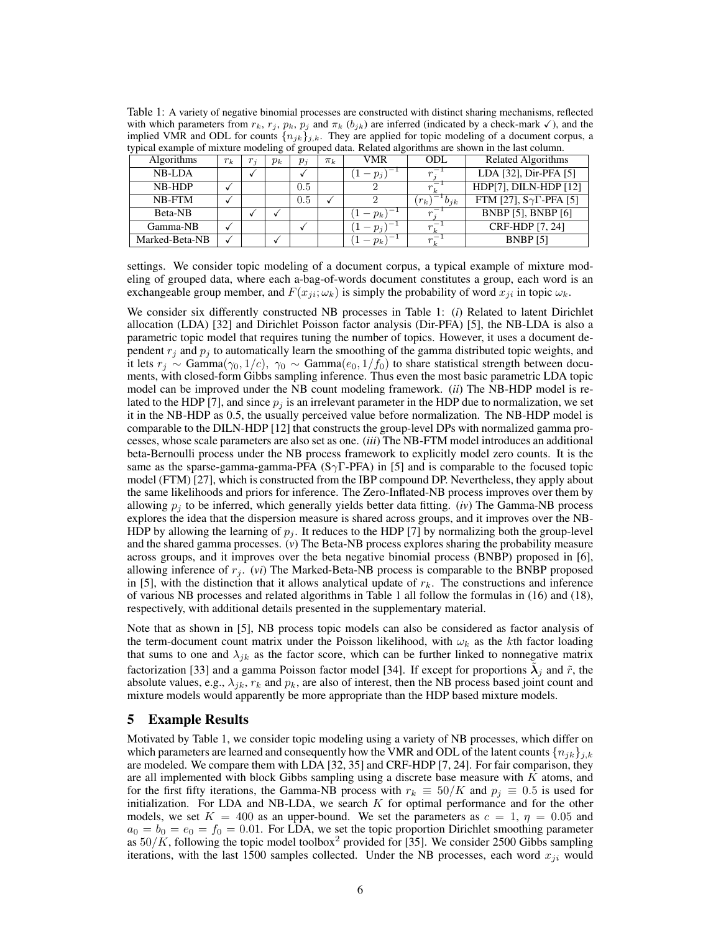| Table 1: A variety of negative binomial processes are constructed with distinct sharing mechanisms, reflected                                     |
|---------------------------------------------------------------------------------------------------------------------------------------------------|
| with which parameters from $r_k$ , $r_j$ , $p_k$ , $p_j$ and $\pi_k$ ( $b_{jk}$ ) are inferred (indicated by a check-mark $\checkmark$ ), and the |
| implied VMR and ODL for counts $\{n_{ik}\}_{i,k}$ . They are applied for topic modeling of a document corpus, a                                   |
| typical example of mixture modeling of grouped data. Related algorithms are shown in the last column.                                             |

| eppear example of mixture modernic of grouped data. Fedaled algorithms are shown in the fast column. |       |                   |       |       |         |          |                   |                                    |  |
|------------------------------------------------------------------------------------------------------|-------|-------------------|-------|-------|---------|----------|-------------------|------------------------------------|--|
| <b>Algorithms</b>                                                                                    | $r_k$ | $r_{\mathcal{z}}$ | $p_k$ | $p_i$ | $\pi_k$ | VMR      | ODL               | Related Algorithms                 |  |
| <b>NB-LDA</b>                                                                                        |       |                   |       |       |         | $-p_{i}$ |                   | LDA [32], Dir-PFA [5]              |  |
| NB-HDP                                                                                               |       |                   |       | 0.5   |         |          |                   | HDP[7], DILN-HDP [12]              |  |
| NB-FTM                                                                                               |       |                   |       | 0.5   |         |          | $b_{jk}$<br>$r_k$ | FTM [27], $S\gamma\Gamma$ -PFA [5] |  |
| Beta-NB                                                                                              |       |                   |       |       |         | $-p_k$ ) |                   | <b>BNBP</b> [5], <b>BNBP</b> [6]   |  |
| Gamma-NB                                                                                             |       |                   |       |       |         | $-p_i$   |                   | CRF-HDP [7, 24]                    |  |
| Marked-Beta-NB                                                                                       |       |                   |       |       |         | $-p_k$   |                   | <b>BNBP</b> [5]                    |  |

settings. We consider topic modeling of a document corpus, a typical example of mixture modeling of grouped data, where each a-bag-of-words document constitutes a group, each word is an exchangeable group member, and  $F(x_{ii}; \omega_k)$  is simply the probability of word  $x_{ii}$  in topic  $\omega_k$ .

We consider six differently constructed NB processes in Table 1: (*i*) Related to latent Dirichlet allocation (LDA) [32] and Dirichlet Poisson factor analysis (Dir-PFA) [5], the NB-LDA is also a parametric topic model that requires tuning the number of topics. However, it uses a document dependent  $r_j$  and  $p_j$  to automatically learn the smoothing of the gamma distributed topic weights, and it lets  $r_j \sim \text{Gamma}(\gamma_0, 1/c)$ ,  $\gamma_0 \sim \text{Gamma}(e_0, 1/f_0)$  to share statistical strength between documents, with closed-form Gibbs sampling inference. Thus even the most basic parametric LDA topic model can be improved under the NB count modeling framework. (*ii*) The NB-HDP model is related to the HDP [7], and since  $p_i$  is an irrelevant parameter in the HDP due to normalization, we set it in the NB-HDP as 0.5, the usually perceived value before normalization. The NB-HDP model is comparable to the DILN-HDP [12] that constructs the group-level DPs with normalized gamma processes, whose scale parameters are also set as one. (*iii*) The NB-FTM model introduces an additional beta-Bernoulli process under the NB process framework to explicitly model zero counts. It is the same as the sparse-gamma-gamma-PFA ( $S\gamma T$ -PFA) in [5] and is comparable to the focused topic model (FTM) [27], which is constructed from the IBP compound DP. Nevertheless, they apply about the same likelihoods and priors for inference. The Zero-Inflated-NB process improves over them by allowing  $p_i$  to be inferred, which generally yields better data fitting. (*iv*) The Gamma-NB process explores the idea that the dispersion measure is shared across groups, and it improves over the NB-HDP by allowing the learning of  $p_j$ . It reduces to the HDP [7] by normalizing both the group-level and the shared gamma processes. (*v*) The Beta-NB process explores sharing the probability measure across groups, and it improves over the beta negative binomial process (BNBP) proposed in [6], allowing inference of  $r_j$ . (*vi*) The Marked-Beta-NB process is comparable to the BNBP proposed in [5], with the distinction that it allows analytical update of  $r_k$ . The constructions and inference of various NB processes and related algorithms in Table 1 all follow the formulas in (16) and (18), respectively, with additional details presented in the supplementary material.

Note that as shown in [5], NB process topic models can also be considered as factor analysis of the term-document count matrix under the Poisson likelihood, with  $\omega_k$  as the kth factor loading that sums to one and  $\lambda_{jk}$  as the factor score, which can be further linked to nonnegative matrix factorization [33] and a gamma Poisson factor model [34]. If except for proportions  $\tilde{\lambda}_j$  and  $\tilde{r}$ , the absolute values, e.g.,  $\lambda_{ik}$ ,  $r_k$  and  $p_k$ , are also of interest, then the NB process based joint count and mixture models would apparently be more appropriate than the HDP based mixture models.

# 5 Example Results

Motivated by Table 1, we consider topic modeling using a variety of NB processes, which differ on which parameters are learned and consequently how the VMR and ODL of the latent counts  ${n_{ik}}_{i,k}$ are modeled. We compare them with LDA [32, 35] and CRF-HDP [7, 24]. For fair comparison, they are all implemented with block Gibbs sampling using a discrete base measure with  $K$  atoms, and for the first fifty iterations, the Gamma-NB process with  $r_k \equiv 50/K$  and  $p_i \equiv 0.5$  is used for initialization. For LDA and NB-LDA, we search  $K$  for optimal performance and for the other models, we set  $K = 400$  as an upper-bound. We set the parameters as  $c = 1$ ,  $\eta = 0.05$  and  $a_0 = b_0 = e_0 = f_0 = 0.01$ . For LDA, we set the topic proportion Dirichlet smoothing parameter as  $50/K$ , following the topic model toolbox<sup>2</sup> provided for [35]. We consider 2500 Gibbs sampling iterations, with the last 1500 samples collected. Under the NB processes, each word  $x_{ji}$  would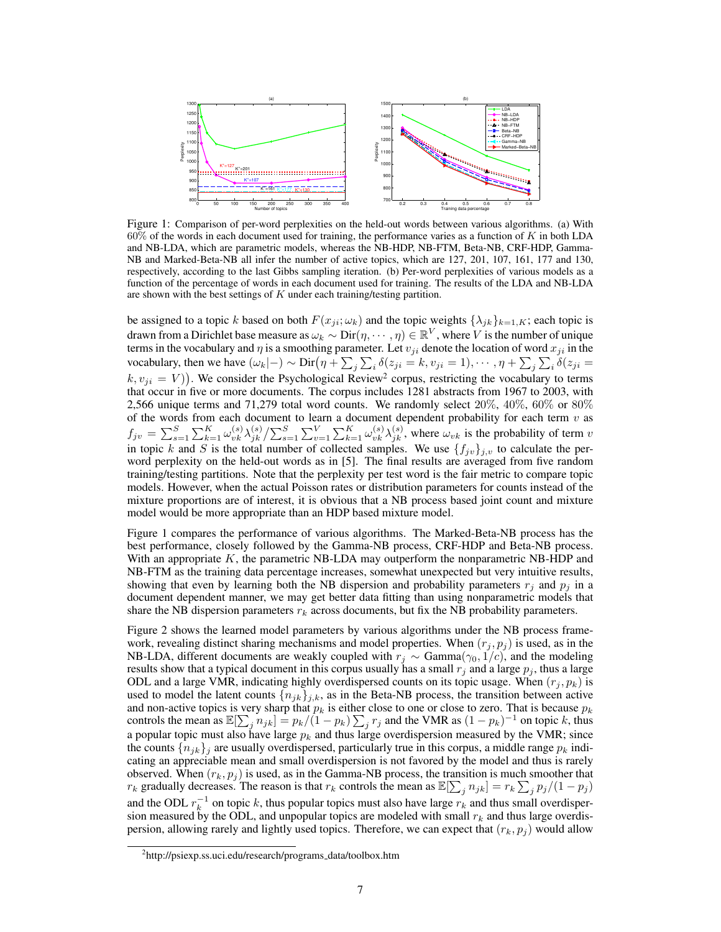

Figure 1: Comparison of per-word perplexities on the held-out words between various algorithms. (a) With  $60\%$  of the words in each document used for training, the performance varies as a function of K in both LDA and NB-LDA, which are parametric models, whereas the NB-HDP, NB-FTM, Beta-NB, CRF-HDP, Gamma-NB and Marked-Beta-NB all infer the number of active topics, which are 127, 201, 107, 161, 177 and 130, respectively, according to the last Gibbs sampling iteration. (b) Per-word perplexities of various models as a function of the percentage of words in each document used for training. The results of the LDA and NB-LDA are shown with the best settings of  $K$  under each training/testing partition.

be assigned to a topic k based on both  $F(x_{ji}; \omega_k)$  and the topic weights  $\{\lambda_{jk}\}_{k=1,K}$ ; each topic is drawn from a Dirichlet base measure as  $\omega_k\sim {\rm Dir}(\eta,\cdots,\eta)\in\mathbb{R}^V,$  where  $V$  is the number of unique terms in the vocabulary and  $\eta$  is a smoothing parameter. Let  $v_{ji}$  denote the location of word  $x_{ji}$  in the vocabulary, then we have  $(\omega_k|-\rangle \sim \text{Dir}(\eta + \sum_j \sum_i \delta(z_{ji} = k, v_{ji} = 1), \cdots, \eta + \sum_j \sum_i \delta(z_{ji} = k, \theta(z_{ji} = k, \theta(z_{ji} = k, \theta(z_{ji} = k, \theta(z_{ji} = k, \theta(z_{ji} = k, \theta(z_{ji} = k, \theta(z_{ji} = k, \theta(z_{ji} = k, \theta(z_{ji} = k, \theta(z_{ji} = k, \theta(z_{ji} = k, \theta(z_{ji} = k, \theta(z_{ji} = k, \theta(z_{ji} = k, \theta(z_{ji} = k$  $(k, v_{ji} = V)$ ). We consider the Psychological Review<sup>2</sup> corpus, restricting the vocabulary to terms that occur in five or more documents. The corpus includes 1281 abstracts from 1967 to 2003, with 2,566 unique terms and 71,279 total word counts. We randomly select  $20\%$ ,  $40\%$ ,  $60\%$  or  $80\%$ of the words from each document to learn a document dependent probability for each term  $v$  as  $f_{jv} = \sum_{s=1}^{S} \sum_{k=1}^{K} \omega_{vk}^{(s)} \lambda_{jk}^{(s)} / \sum_{s=1}^{S} \sum_{v=1}^{V} \sum_{k=1}^{K} \omega_{vk}^{(s)} \lambda_{jk}^{(s)}$ , where  $\omega_{vk}$  is the probability of term v in topic k and S is the total number of collected samples. We use  $\{f_{jv}\}_{j,v}$  to calculate the perword perplexity on the held-out words as in [5]. The final results are averaged from five random training/testing partitions. Note that the perplexity per test word is the fair metric to compare topic models. However, when the actual Poisson rates or distribution parameters for counts instead of the mixture proportions are of interest, it is obvious that a NB process based joint count and mixture model would be more appropriate than an HDP based mixture model.

Figure 1 compares the performance of various algorithms. The Marked-Beta-NB process has the best performance, closely followed by the Gamma-NB process, CRF-HDP and Beta-NB process. With an appropriate  $K$ , the parametric NB-LDA may outperform the nonparametric NB-HDP and NB-FTM as the training data percentage increases, somewhat unexpected but very intuitive results, showing that even by learning both the NB dispersion and probability parameters  $r_i$  and  $p_i$  in a document dependent manner, we may get better data fitting than using nonparametric models that share the NB dispersion parameters  $r_k$  across documents, but fix the NB probability parameters.

Figure 2 shows the learned model parameters by various algorithms under the NB process framework, revealing distinct sharing mechanisms and model properties. When  $(r_j, p_j)$  is used, as in the NB-LDA, different documents are weakly coupled with  $r_j \sim \text{Gamma}(\gamma_0, 1/c)$ , and the modeling results show that a typical document in this corpus usually has a small  $r_j$  and a large  $p_j$ , thus a large ODL and a large VMR, indicating highly overdispersed counts on its topic usage. When  $(r_i, p_k)$  is used to model the latent counts  ${n_{jk}}_{j,k}$ , as in the Beta-NB process, the transition between active and non-active topics is very sharp that  $p_k$  is either close to one or close to zero. That is because  $p_k$ controls the mean as  $\mathbb{E}[\sum_j n_{jk}] = p_k/(1-p_k) \sum_j r_j$  and the VMR as  $(1-p_k)^{-1}$  on topic k, thus a popular topic must also have large  $p_k$  and thus large overdispersion measured by the VMR; since the counts  $\{n_{ik}\}\$  are usually overdispersed, particularly true in this corpus, a middle range  $p_k$  indicating an appreciable mean and small overdispersion is not favored by the model and thus is rarely observed. When  $(r_k, p_j)$  is used, as in the Gamma-NB process, the transition is much smoother that  $r_k$  gradually decreases. The reason is that  $r_k$  controls the mean as  $\mathbb{E}[\sum_j n_{jk}] = r_k \sum_j p_j/(1-p_j)$ and the ODL  $r_k^{-1}$  on topic k, thus popular topics must also have large  $r_k$  and thus small overdispersion measured by the ODL, and unpopular topics are modeled with small  $r_k$  and thus large overdispersion, allowing rarely and lightly used topics. Therefore, we can expect that  $(r_k, p_i)$  would allow

<sup>&</sup>lt;sup>2</sup>http://psiexp.ss.uci.edu/research/programs\_data/toolbox.htm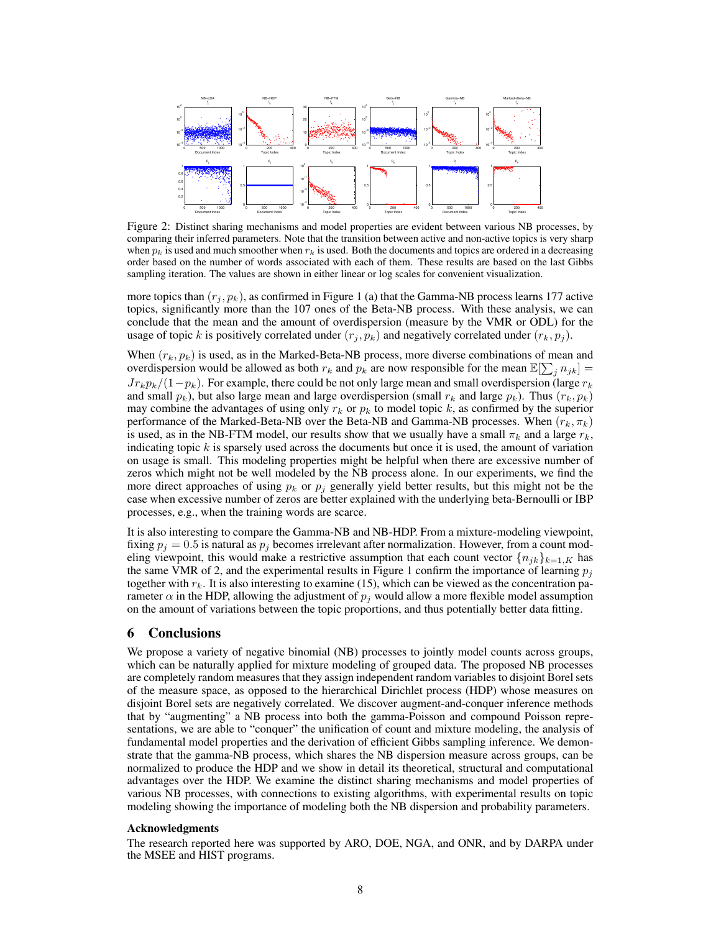

Figure 2: Distinct sharing mechanisms and model properties are evident between various NB processes, by comparing their inferred parameters. Note that the transition between active and non-active topics is very sharp when  $p_k$  is used and much smoother when  $r_k$  is used. Both the documents and topics are ordered in a decreasing order based on the number of words associated with each of them. These results are based on the last Gibbs sampling iteration. The values are shown in either linear or log scales for convenient visualization.

more topics than  $(r_j, p_k)$ , as confirmed in Figure 1 (a) that the Gamma-NB process learns 177 active topics, significantly more than the 107 ones of the Beta-NB process. With these analysis, we can conclude that the mean and the amount of overdispersion (measure by the VMR or ODL) for the usage of topic k is positively correlated under  $(r_i, p_k)$  and negatively correlated under  $(r_k, p_i)$ .

When  $(r_k, p_k)$  is used, as in the Marked-Beta-NB process, more diverse combinations of mean and overdispersion would be allowed as both  $r_k$  and  $p_k$  are now responsible for the mean  $\mathbb{E}[\sum_j n_{jk}] =$  $Jr_kp_k/(1-p_k)$ . For example, there could be not only large mean and small overdispersion (large  $r_k$ and small  $p_k$ ), but also large mean and large overdispersion (small  $r_k$  and large  $p_k$ ). Thus  $(r_k, p_k)$ may combine the advantages of using only  $r_k$  or  $p_k$  to model topic k, as confirmed by the superior performance of the Marked-Beta-NB over the Beta-NB and Gamma-NB processes. When  $(r_k, \pi_k)$ is used, as in the NB-FTM model, our results show that we usually have a small  $\pi_k$  and a large  $r_k$ , indicating topic  $k$  is sparsely used across the documents but once it is used, the amount of variation on usage is small. This modeling properties might be helpful when there are excessive number of zeros which might not be well modeled by the NB process alone. In our experiments, we find the more direct approaches of using  $p_k$  or  $p_j$  generally yield better results, but this might not be the case when excessive number of zeros are better explained with the underlying beta-Bernoulli or IBP processes, e.g., when the training words are scarce.

It is also interesting to compare the Gamma-NB and NB-HDP. From a mixture-modeling viewpoint, fixing  $p_j = 0.5$  is natural as  $p_j$  becomes irrelevant after normalization. However, from a count modeling viewpoint, this would make a restrictive assumption that each count vector  ${n_{ik}}_{k=1,K}$  has the same VMR of 2, and the experimental results in Figure 1 confirm the importance of learning  $p_i$ together with  $r_k$ . It is also interesting to examine (15), which can be viewed as the concentration parameter  $\alpha$  in the HDP, allowing the adjustment of  $p_i$  would allow a more flexible model assumption on the amount of variations between the topic proportions, and thus potentially better data fitting.

## 6 Conclusions

We propose a variety of negative binomial (NB) processes to jointly model counts across groups, which can be naturally applied for mixture modeling of grouped data. The proposed NB processes are completely random measures that they assign independent random variables to disjoint Borel sets of the measure space, as opposed to the hierarchical Dirichlet process (HDP) whose measures on disjoint Borel sets are negatively correlated. We discover augment-and-conquer inference methods that by "augmenting" a NB process into both the gamma-Poisson and compound Poisson representations, we are able to "conquer" the unification of count and mixture modeling, the analysis of fundamental model properties and the derivation of efficient Gibbs sampling inference. We demonstrate that the gamma-NB process, which shares the NB dispersion measure across groups, can be normalized to produce the HDP and we show in detail its theoretical, structural and computational advantages over the HDP. We examine the distinct sharing mechanisms and model properties of various NB processes, with connections to existing algorithms, with experimental results on topic modeling showing the importance of modeling both the NB dispersion and probability parameters.

#### Acknowledgments

The research reported here was supported by ARO, DOE, NGA, and ONR, and by DARPA under the MSEE and HIST programs.